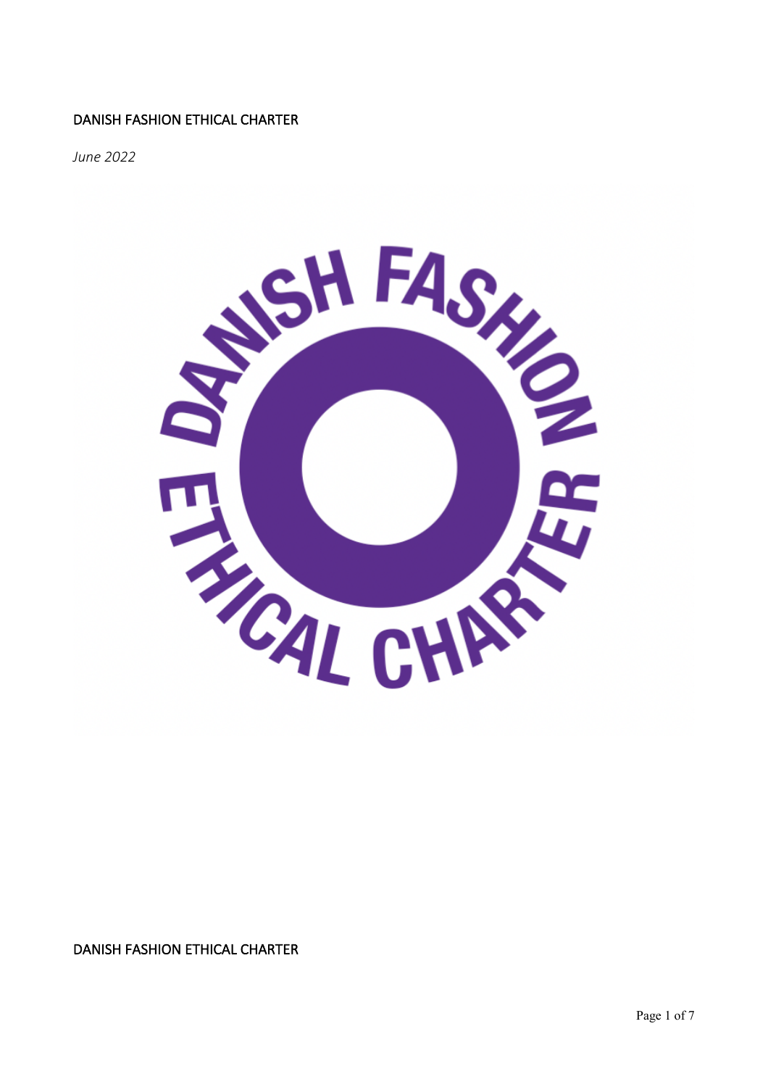#### DANISH FASHION ETHICAL CHARTER

*June 2022*



DANISH FASHION ETHICAL CHARTER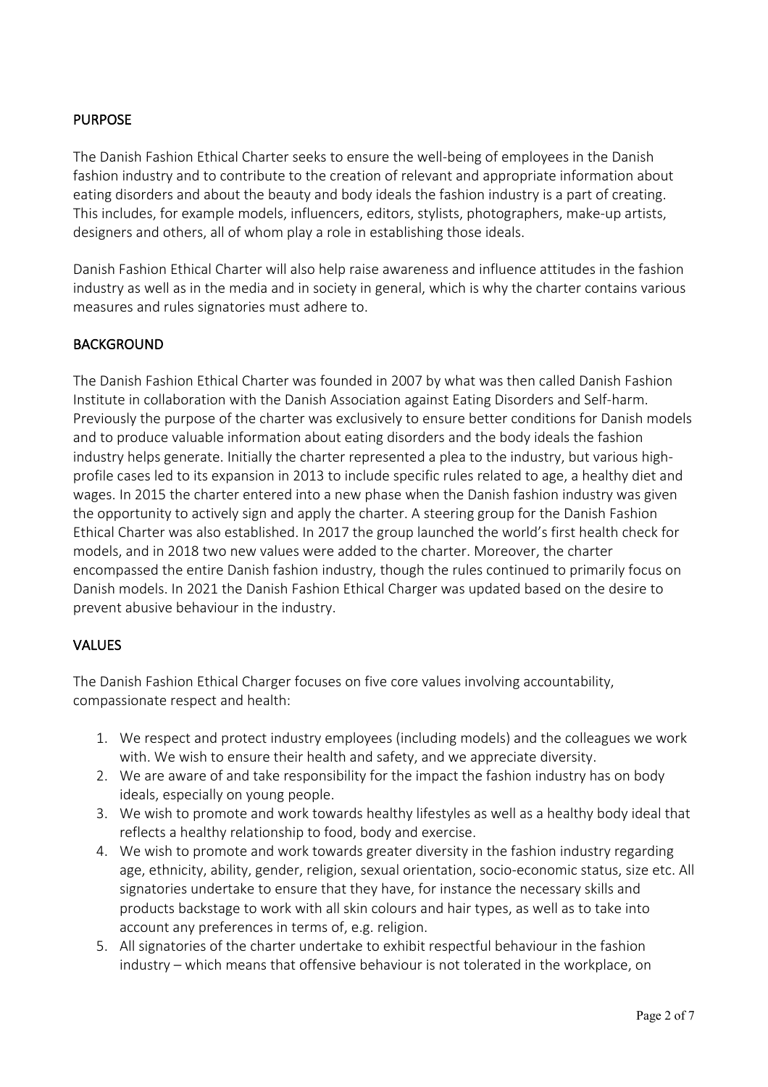## **PURPOSE**

The Danish Fashion Ethical Charter seeks to ensure the well-being of employees in the Danish fashion industry and to contribute to the creation of relevant and appropriate information about eating disorders and about the beauty and body ideals the fashion industry is a part of creating. This includes, for example models, influencers, editors, stylists, photographers, make-up artists, designers and others, all of whom play a role in establishing those ideals.

Danish Fashion Ethical Charter will also help raise awareness and influence attitudes in the fashion industry as well as in the media and in society in general, which is why the charter contains various measures and rules signatories must adhere to.

## BACKGROUND

The Danish Fashion Ethical Charter was founded in 2007 by what was then called Danish Fashion Institute in collaboration with the Danish Association against Eating Disorders and Self-harm. Previously the purpose of the charter was exclusively to ensure better conditions for Danish models and to produce valuable information about eating disorders and the body ideals the fashion industry helps generate. Initially the charter represented a plea to the industry, but various highprofile cases led to its expansion in 2013 to include specific rules related to age, a healthy diet and wages. In 2015 the charter entered into a new phase when the Danish fashion industry was given the opportunity to actively sign and apply the charter. A steering group for the Danish Fashion Ethical Charter was also established. In 2017 the group launched the world's first health check for models, and in 2018 two new values were added to the charter. Moreover, the charter encompassed the entire Danish fashion industry, though the rules continued to primarily focus on Danish models. In 2021 the Danish Fashion Ethical Charger was updated based on the desire to prevent abusive behaviour in the industry.

#### VALUES

The Danish Fashion Ethical Charger focuses on five core values involving accountability, compassionate respect and health:

- 1. We respect and protect industry employees (including models) and the colleagues we work with. We wish to ensure their health and safety, and we appreciate diversity.
- 2. We are aware of and take responsibility for the impact the fashion industry has on body ideals, especially on young people.
- 3. We wish to promote and work towards healthy lifestyles as well as a healthy body ideal that reflects a healthy relationship to food, body and exercise.
- 4. We wish to promote and work towards greater diversity in the fashion industry regarding age, ethnicity, ability, gender, religion, sexual orientation, socio-economic status, size etc. All signatories undertake to ensure that they have, for instance the necessary skills and products backstage to work with all skin colours and hair types, as well as to take into account any preferences in terms of, e.g. religion.
- 5. All signatories of the charter undertake to exhibit respectful behaviour in the fashion industry – which means that offensive behaviour is not tolerated in the workplace, on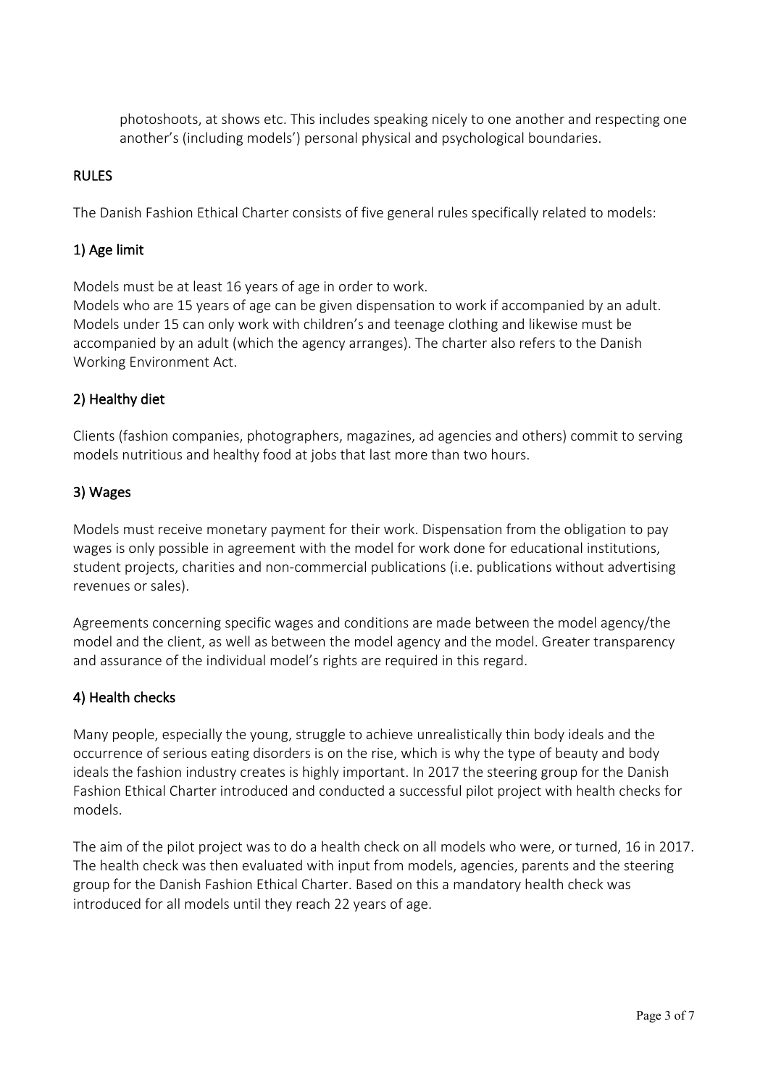photoshoots, at shows etc. This includes speaking nicely to one another and respecting one another's (including models') personal physical and psychological boundaries.

## RULES

The Danish Fashion Ethical Charter consists of five general rules specifically related to models:

## 1) Age limit

Models must be at least 16 years of age in order to work.

Models who are 15 years of age can be given dispensation to work if accompanied by an adult. Models under 15 can only work with children's and teenage clothing and likewise must be accompanied by an adult (which the agency arranges). The charter also refers to the Danish Working Environment Act.

#### 2) Healthy diet

Clients (fashion companies, photographers, magazines, ad agencies and others) commit to serving models nutritious and healthy food at jobs that last more than two hours.

#### 3) Wages

Models must receive monetary payment for their work. Dispensation from the obligation to pay wages is only possible in agreement with the model for work done for educational institutions, student projects, charities and non-commercial publications (i.e. publications without advertising revenues or sales).

Agreements concerning specific wages and conditions are made between the model agency/the model and the client, as well as between the model agency and the model. Greater transparency and assurance of the individual model's rights are required in this regard.

#### 4) Health checks

Many people, especially the young, struggle to achieve unrealistically thin body ideals and the occurrence of serious eating disorders is on the rise, which is why the type of beauty and body ideals the fashion industry creates is highly important. In 2017 the steering group for the Danish Fashion Ethical Charter introduced and conducted a successful pilot project with health checks for models.

The aim of the pilot project was to do a health check on all models who were, or turned, 16 in 2017. The health check was then evaluated with input from models, agencies, parents and the steering group for the Danish Fashion Ethical Charter. Based on this a mandatory health check was introduced for all models until they reach 22 years of age.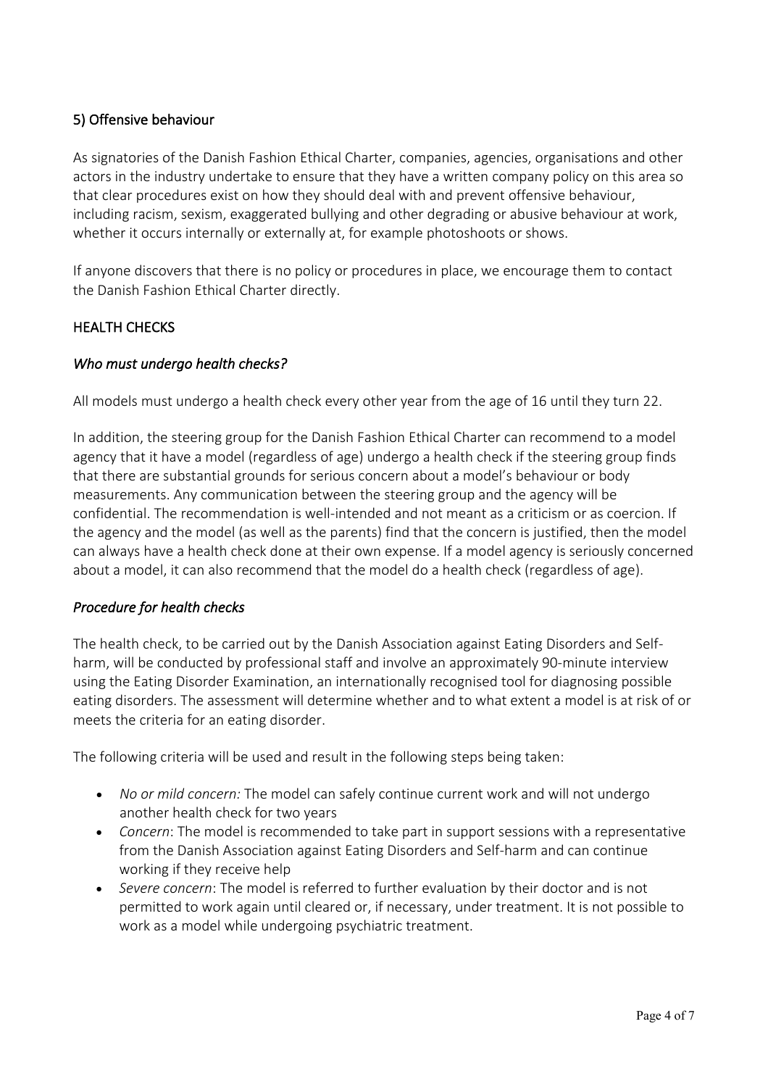## 5) Offensive behaviour

As signatories of the Danish Fashion Ethical Charter, companies, agencies, organisations and other actors in the industry undertake to ensure that they have a written company policy on this area so that clear procedures exist on how they should deal with and prevent offensive behaviour, including racism, sexism, exaggerated bullying and other degrading or abusive behaviour at work, whether it occurs internally or externally at, for example photoshoots or shows.

If anyone discovers that there is no policy or procedures in place, we encourage them to contact the Danish Fashion Ethical Charter directly.

## HEALTH CHECKS

## *Who must undergo health checks?*

All models must undergo a health check every other year from the age of 16 until they turn 22.

In addition, the steering group for the Danish Fashion Ethical Charter can recommend to a model agency that it have a model (regardless of age) undergo a health check if the steering group finds that there are substantial grounds for serious concern about a model's behaviour or body measurements. Any communication between the steering group and the agency will be confidential. The recommendation is well-intended and not meant as a criticism or as coercion. If the agency and the model (as well as the parents) find that the concern is justified, then the model can always have a health check done at their own expense. If a model agency is seriously concerned about a model, it can also recommend that the model do a health check (regardless of age).

## *Procedure for health checks*

The health check, to be carried out by the Danish Association against Eating Disorders and Selfharm, will be conducted by professional staff and involve an approximately 90-minute interview using the Eating Disorder Examination, an internationally recognised tool for diagnosing possible eating disorders. The assessment will determine whether and to what extent a model is at risk of or meets the criteria for an eating disorder.

The following criteria will be used and result in the following steps being taken:

- *No or mild concern:* The model can safely continue current work and will not undergo another health check for two years
- *Concern*: The model is recommended to take part in support sessions with a representative from the Danish Association against Eating Disorders and Self-harm and can continue working if they receive help
- *Severe concern*: The model is referred to further evaluation by their doctor and is not permitted to work again until cleared or, if necessary, under treatment. It is not possible to work as a model while undergoing psychiatric treatment.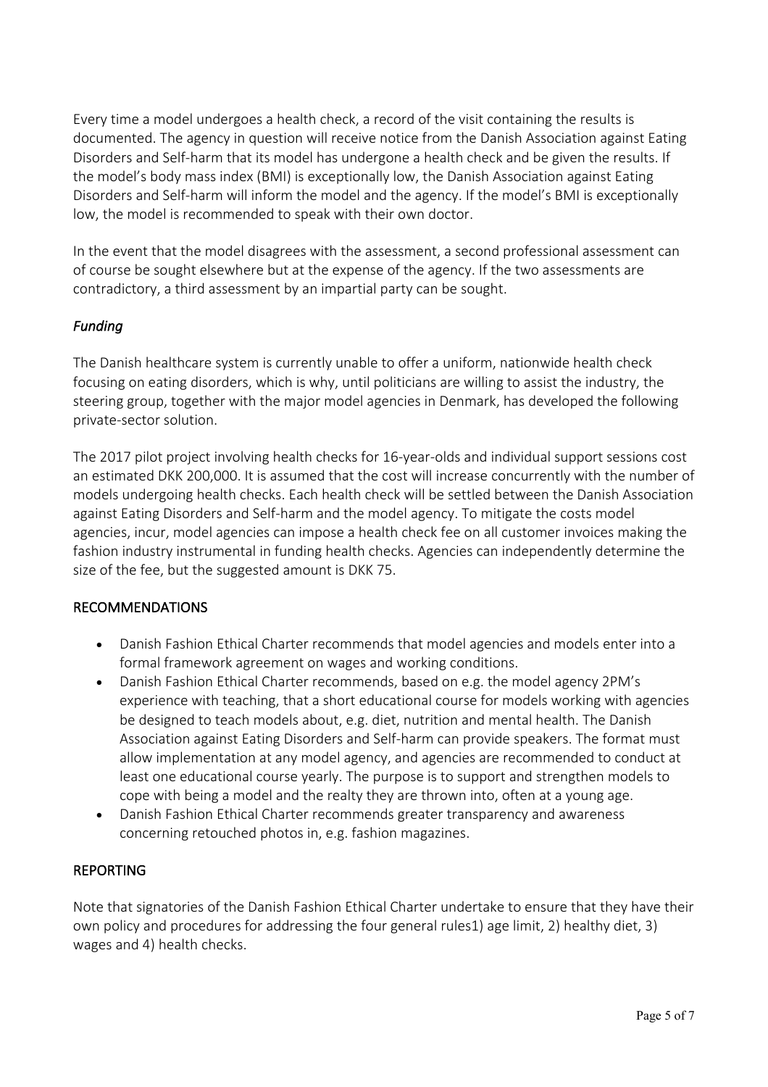Every time a model undergoes a health check, a record of the visit containing the results is documented. The agency in question will receive notice from the Danish Association against Eating Disorders and Self-harm that its model has undergone a health check and be given the results. If the model's body mass index (BMI) is exceptionally low, the Danish Association against Eating Disorders and Self-harm will inform the model and the agency. If the model's BMI is exceptionally low, the model is recommended to speak with their own doctor.

In the event that the model disagrees with the assessment, a second professional assessment can of course be sought elsewhere but at the expense of the agency. If the two assessments are contradictory, a third assessment by an impartial party can be sought.

# *Funding*

The Danish healthcare system is currently unable to offer a uniform, nationwide health check focusing on eating disorders, which is why, until politicians are willing to assist the industry, the steering group, together with the major model agencies in Denmark, has developed the following private-sector solution.

The 2017 pilot project involving health checks for 16-year-olds and individual support sessions cost an estimated DKK 200,000. It is assumed that the cost will increase concurrently with the number of models undergoing health checks. Each health check will be settled between the Danish Association against Eating Disorders and Self-harm and the model agency. To mitigate the costs model agencies, incur, model agencies can impose a health check fee on all customer invoices making the fashion industry instrumental in funding health checks. Agencies can independently determine the size of the fee, but the suggested amount is DKK 75.

## RECOMMENDATIONS

- Danish Fashion Ethical Charter recommends that model agencies and models enter into a formal framework agreement on wages and working conditions.
- Danish Fashion Ethical Charter recommends, based on e.g. the model agency 2PM's experience with teaching, that a short educational course for models working with agencies be designed to teach models about, e.g. diet, nutrition and mental health. The Danish Association against Eating Disorders and Self-harm can provide speakers. The format must allow implementation at any model agency, and agencies are recommended to conduct at least one educational course yearly. The purpose is to support and strengthen models to cope with being a model and the realty they are thrown into, often at a young age.
- Danish Fashion Ethical Charter recommends greater transparency and awareness concerning retouched photos in, e.g. fashion magazines.

#### REPORTING

Note that signatories of the Danish Fashion Ethical Charter undertake to ensure that they have their own policy and procedures for addressing the four general rules1) age limit, 2) healthy diet, 3) wages and 4) health checks.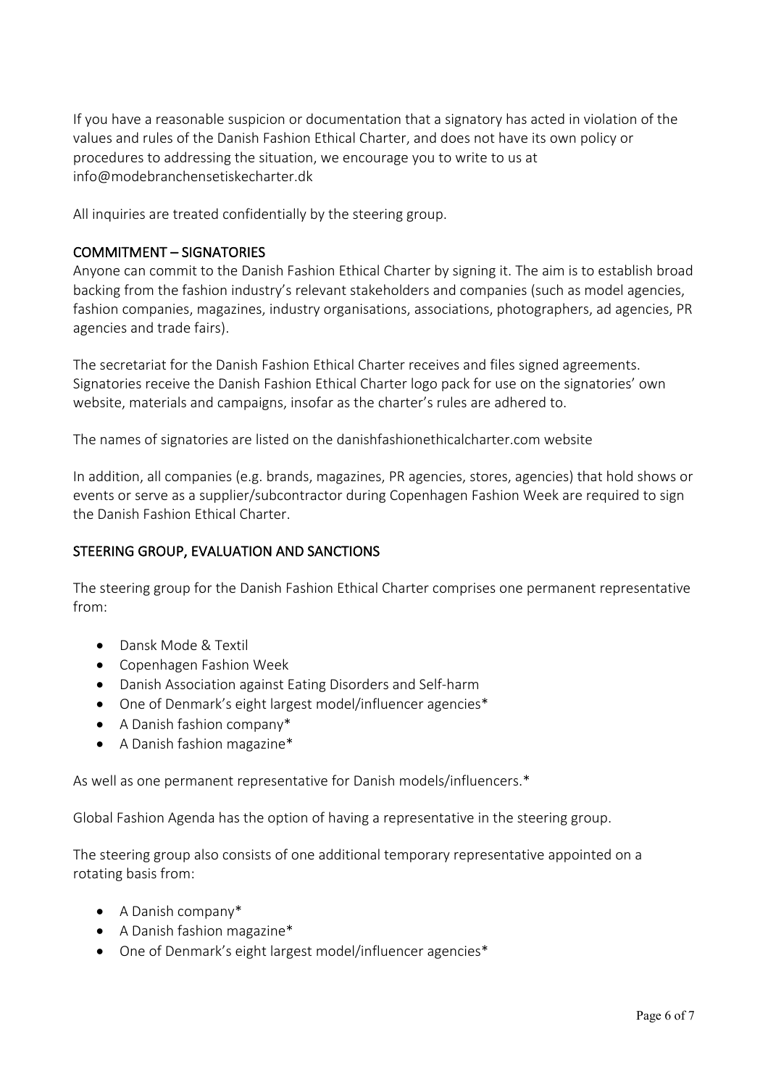If you have a reasonable suspicion or documentation that a signatory has acted in violation of the values and rules of the Danish Fashion Ethical Charter, and does not have its own policy or procedures to addressing the situation, we encourage you to write to us at info@modebranchensetiskecharter.dk

All inquiries are treated confidentially by the steering group.

#### COMMITMENT – SIGNATORIES

Anyone can commit to the Danish Fashion Ethical Charter by signing it. The aim is to establish broad backing from the fashion industry's relevant stakeholders and companies (such as model agencies, fashion companies, magazines, industry organisations, associations, photographers, ad agencies, PR agencies and trade fairs).

The secretariat for the Danish Fashion Ethical Charter receives and files signed agreements. Signatories receive the Danish Fashion Ethical Charter logo pack for use on the signatories' own website, materials and campaigns, insofar as the charter's rules are adhered to.

The names of signatories are listed on the danishfashionethicalcharter.com website

In addition, all companies (e.g. brands, magazines, PR agencies, stores, agencies) that hold shows or events or serve as a supplier/subcontractor during Copenhagen Fashion Week are required to sign the Danish Fashion Ethical Charter.

#### STEERING GROUP, EVALUATION AND SANCTIONS

The steering group for the Danish Fashion Ethical Charter comprises one permanent representative from:

- Dansk Mode & Textil
- Copenhagen Fashion Week
- Danish Association against Eating Disorders and Self-harm
- One of Denmark's eight largest model/influencer agencies\*
- A Danish fashion company\*
- A Danish fashion magazine\*

As well as one permanent representative for Danish models/influencers.\*

Global Fashion Agenda has the option of having a representative in the steering group.

The steering group also consists of one additional temporary representative appointed on a rotating basis from:

- A Danish company\*
- A Danish fashion magazine\*
- One of Denmark's eight largest model/influencer agencies\*